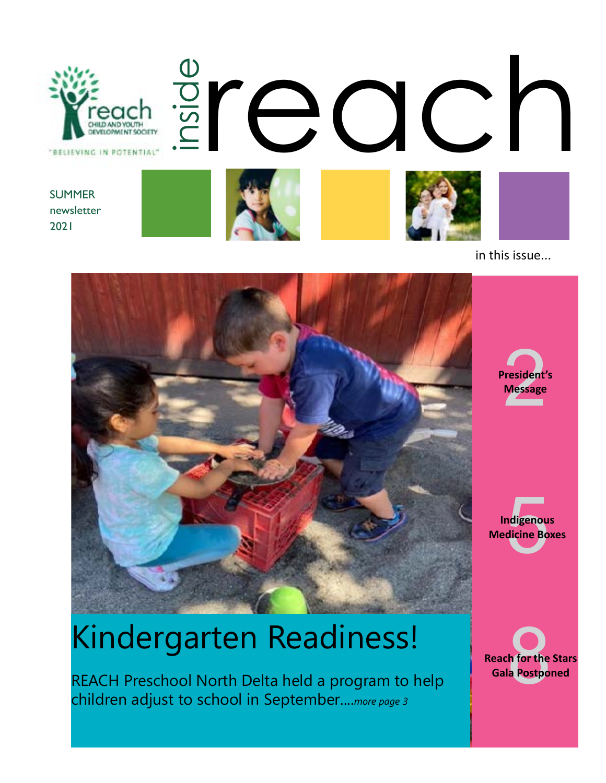

in this issue...



# Kindergarten Readiness!

REACH Preschool North Delta held a program to help children adjust to school in September....*more page 3*

resident'<br>Message **President's Message**

ndigenou<br>dicine Bo **Indigenous Medicine Boxes**

**Reach for the Stars**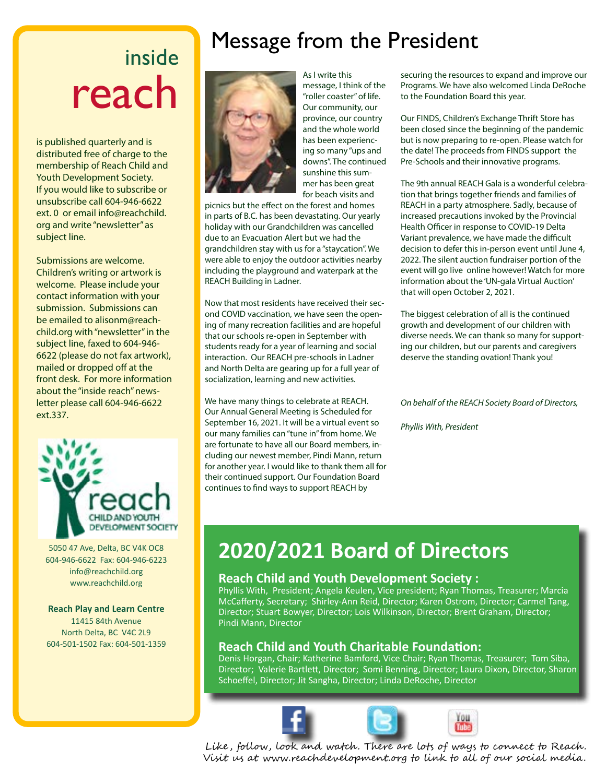## inside reach

is published quarterly and is distributed free of charge to the membership of Reach Child and Youth Development Society. If you would like to subscribe or unsubscribe call 604-946-6622 ext. 0 or email info@reachchild. org and write "newsletter" as subject line.

Submissions are welcome. Children's writing or artwork is welcome. Please include your contact information with your submission. Submissions can be emailed to alisonm@reachchild.org with "newsletter" in the subject line, faxed to 604-946- 6622 (please do not fax artwork), mailed or dropped off at the front desk. For more information about the "inside reach" newsletter please call 604-946-6622 ext.337.



5050 47 Ave, Delta, BC V4K OC8 604-946-6622 Fax: 604-946-6223 info@reachchild.org www.reachchild.org

#### **Reach Play and Learn Centre** 11415 84th Avenue

North Delta, BC V4C 2L9 604-501-1502 Fax: 604-501-1359

### Message from the President



As I write this message, I think of the "roller coaster" of life. Our community, our province, our country and the whole world has been experiencing so many "ups and downs". The continued sunshine this summer has been great for beach visits and

picnics but the effect on the forest and homes in parts of B.C. has been devastating. Our yearly holiday with our Grandchildren was cancelled due to an Evacuation Alert but we had the grandchildren stay with us for a "staycation". We were able to enjoy the outdoor activities nearby including the playground and waterpark at the REACH Building in Ladner.

Now that most residents have received their second COVID vaccination, we have seen the opening of many recreation facilities and are hopeful that our schools re-open in September with students ready for a year of learning and social interaction. Our REACH pre-schools in Ladner and North Delta are gearing up for a full year of socialization, learning and new activities.

We have many things to celebrate at REACH. Our Annual General Meeting is Scheduled for September 16, 2021. It will be a virtual event so our many families can "tune in" from home. We are fortunate to have all our Board members, including our newest member, Pindi Mann, return for another year. I would like to thank them all for their continued support. Our Foundation Board continues to find ways to support REACH by

securing the resources to expand and improve our Programs. We have also welcomed Linda DeRoche to the Foundation Board this year.

Our FINDS, Children's Exchange Thrift Store has been closed since the beginning of the pandemic but is now preparing to re-open. Please watch for the date! The proceeds from FINDS support the Pre-Schools and their innovative programs.

The 9th annual REACH Gala is a wonderful celebration that brings together friends and families of REACH in a party atmosphere. Sadly, because of increased precautions invoked by the Provincial Health Officer in response to COVID-19 Delta Variant prevalence, we have made the difficult decision to defer this in-person event until June 4, 2022. The silent auction fundraiser portion of the event will go live online however! Watch for more information about the 'UN-gala Virtual Auction' that will open October 2, 2021.

The biggest celebration of all is the continued growth and development of our children with diverse needs. We can thank so many for supporting our children, but our parents and caregivers deserve the standing ovation! Thank you!

*On behalf of the REACH Society Board of Directors,*

*Phyllis With, President*

### **2020/2021 Board of Directors**

#### **Reach Child and Youth Development Society :**

Phyllis With, President; Angela Keulen, Vice president; Ryan Thomas, Treasurer; Marcia McCafferty, Secretary; Shirley-Ann Reid, Director; Karen Ostrom, Director; Carmel Tang, Director; Stuart Bowyer, Director; Lois Wilkinson, Director; Brent Graham, Director; Pindi Mann, Director

#### **Reach Child and Youth Charitable Foundation:**

Denis Horgan, Chair; Katherine Bamford, Vice Chair; Ryan Thomas, Treasurer; Tom Siba, Director; Valerie Bartlett, Director; Somi Benning, Director; Laura Dixon, Director, Sharon Schoeffel, Director; Jit Sangha, Director; Linda DeRoche, Director





Like , follow, look and watch . There are lots of ways to connect to Reach . Visit us at www.reachdevelopment.org to link to all of our social media.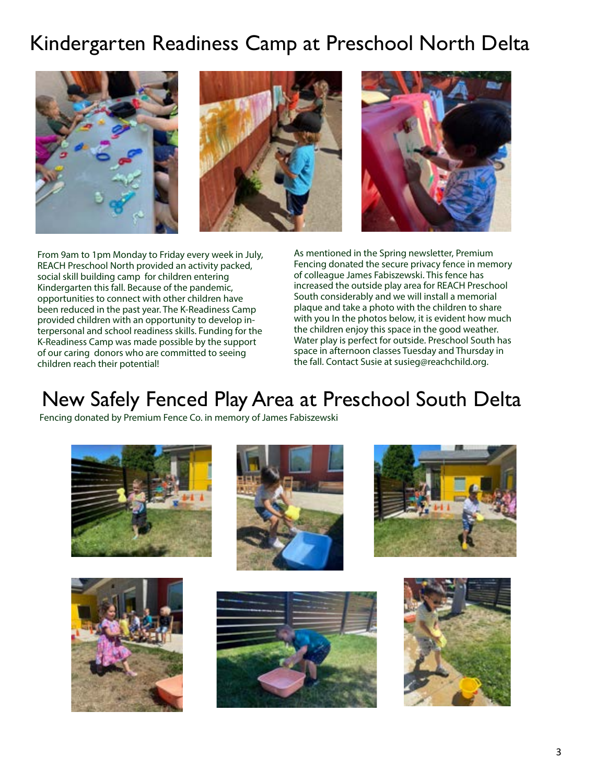#### Kindergarten Readiness Camp at Preschool North Delta







From 9am to 1pm Monday to Friday every week in July, REACH Preschool North provided an activity packed, social skill building camp for children entering Kindergarten this fall. Because of the pandemic, opportunities to connect with other children have been reduced in the past year. The K-Readiness Camp provided children with an opportunity to develop interpersonal and school readiness skills. Funding for the K-Readiness Camp was made possible by the support of our caring donors who are committed to seeing children reach their potential!

As mentioned in the Spring newsletter, Premium Fencing donated the secure privacy fence in memory of colleague James Fabiszewski. This fence has increased the outside play area for REACH Preschool South considerably and we will install a memorial plaque and take a photo with the children to share with you In the photos below, it is evident how much the children enjoy this space in the good weather. Water play is perfect for outside. Preschool South has space in afternoon classes Tuesday and Thursday in the fall. Contact Susie at susieg@reachchild.org.

#### New Safely Fenced Play Area at Preschool South Delta

Fencing donated by Premium Fence Co. in memory of James Fabiszewski











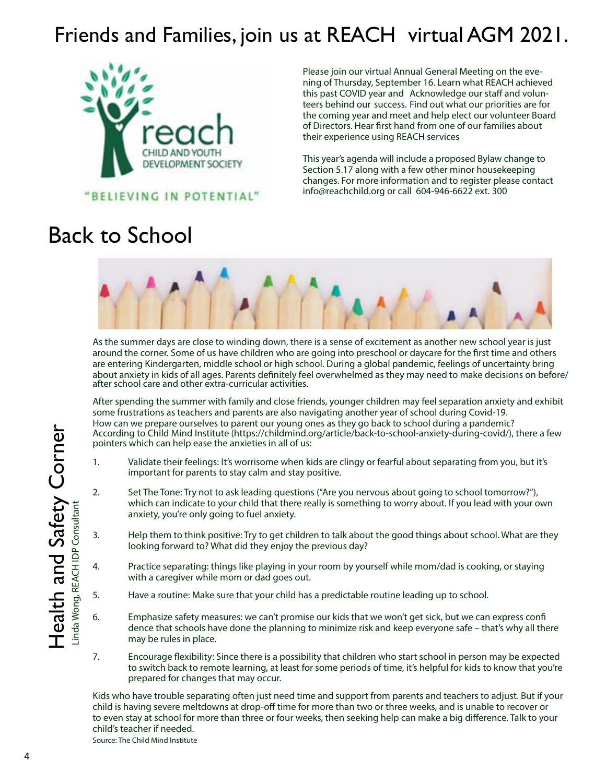### Friends and Families, join us at REACH virtual AGM 2021.



Please join our virtual Annual General Meeting on the evening of Thursday, September 16. Learn what REACH achieved this past COVID year and Acknowledge our staff and volunteers behind our success. Find out what our priorities are for the coming year and meet and help elect our volunteer Board of Directors. Hear first hand from one of our families about their experience using REACH services

This year's agenda will include a proposed Bylaw change to Section 5.17 along with a few other minor housekeeping changes. For more information and to register please contact info@reachchild.org or call 604-946-6622 ext. 300

### Back to School



As the summer days are close to winding down, there is a sense of excitement as another new school year is just around the corner. Some of us have children who are going into preschool or daycare for the first time and others are entering Kindergarten, middle school or high school. During a global pandemic, feelings of uncertainty bring about anxiety in kids of all ages. Parents definitely feel overwhelmed as they may need to make decisions on before/ after school care and other extra-curricular activities.

After spending the summer with family and close friends, younger children may feel separation anxiety and exhibit some frustrations as teachers and parents are also navigating another year of school during Covid-19. How can we prepare ourselves to parent our young ones as they go back to school during a pandemic? According to Child Mind Institute (https://childmind.org/article/back-to-school-anxiety-during-covid/), there a few pointers which can help ease the anxieties in all of us:

- 1. Validate their feelings: It's worrisome when kids are clingy or fearful about separating from you, but it's important for parents to stay calm and stay positive.
- 2. Set The Tone: Try not to ask leading questions ("Are you nervous about going to school tomorrow?"), which can indicate to your child that there really is something to worry about. If you lead with your own anxiety, you're only going to fuel anxiety.
- 3. Help them to think positive: Try to get children to talk about the good things about school. What are they looking forward to? What did they enjoy the previous day?
- 4. Practice separating: things like playing in your room by yourself while mom/dad is cooking, or staying with a caregiver while mom or dad goes out.
- 5. Have a routine: Make sure that your child has a predictable routine leading up to school.
- 6. Emphasize safety measures: we can't promise our kids that we won't get sick, but we can express confi dence that schools have done the planning to minimize risk and keep everyone safe – that's why all there may be rules in place.
- 7. Encourage flexibility: Since there is a possibility that children who start school in person may be expected to switch back to remote learning, at least for some periods of time, it's helpful for kids to know that you're prepared for changes that may occur.

Kids who have trouble separating often just need time and support from parents and teachers to adjust. But if your child is having severe meltdowns at drop-off time for more than two or three weeks, and is unable to recover or to even stay at school for more than three or four weeks, then seeking help can make a big difference. Talk to your child's teacher if needed.

Source: The Child Mind Institute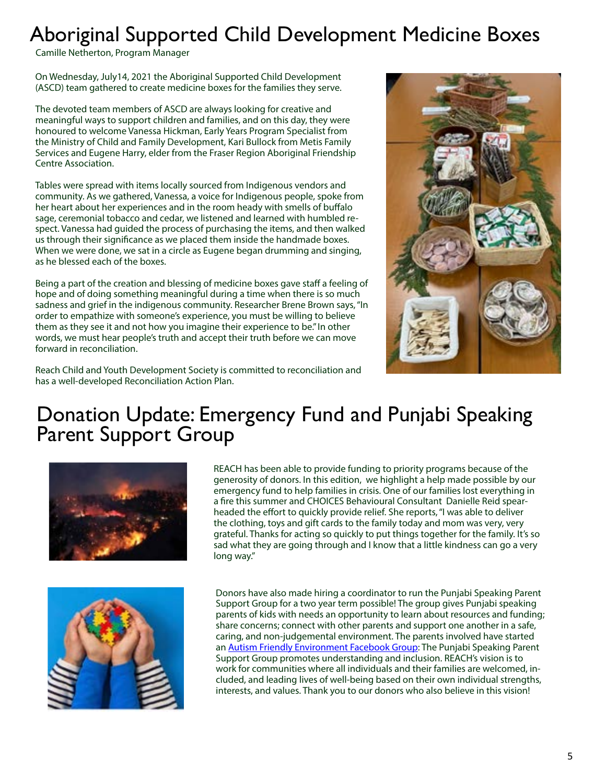### Aboriginal Supported Child Development Medicine Boxes

Camille Netherton, Program Manager

On Wednesday, July14, 2021 the Aboriginal Supported Child Development (ASCD) team gathered to create medicine boxes for the families they serve.

The devoted team members of ASCD are always looking for creative and meaningful ways to support children and families, and on this day, they were honoured to welcome Vanessa Hickman, Early Years Program Specialist from the Ministry of Child and Family Development, Kari Bullock from Metis Family Services and Eugene Harry, elder from the Fraser Region Aboriginal Friendship Centre Association.

Tables were spread with items locally sourced from Indigenous vendors and community. As we gathered, Vanessa, a voice for Indigenous people, spoke from her heart about her experiences and in the room heady with smells of buffalo sage, ceremonial tobacco and cedar, we listened and learned with humbled respect. Vanessa had guided the process of purchasing the items, and then walked us through their significance as we placed them inside the handmade boxes. When we were done, we sat in a circle as Eugene began drumming and singing, as he blessed each of the boxes.

Being a part of the creation and blessing of medicine boxes gave staff a feeling of hope and of doing something meaningful during a time when there is so much sadness and grief in the indigenous community. Researcher Brene Brown says, "In order to empathize with someone's experience, you must be willing to believe them as they see it and not how you imagine their experience to be." In other words, we must hear people's truth and accept their truth before we can move forward in reconciliation.



Reach Child and Youth Development Society is committed to reconciliation and has a well-developed Reconciliation Action Plan.

#### Donation Update: Emergency Fund and Punjabi Speaking Parent Support Group



REACH has been able to provide funding to priority programs because of the generosity of donors. In this edition, we highlight a help made possible by our emergency fund to help families in crisis. One of our families lost everything in a fire this summer and CHOICES Behavioural Consultant Danielle Reid spearheaded the effort to quickly provide relief. She reports, "I was able to deliver the clothing, toys and gift cards to the family today and mom was very, very grateful. Thanks for acting so quickly to put things together for the family. It's so sad what they are going through and I know that a little kindness can go a very long way."



Donors have also made hiring a coordinator to run the Punjabi Speaking Parent Support Group for a two year term possible! The group gives Punjabi speaking parents of kids with needs an opportunity to learn about resources and funding; share concerns; connect with other parents and support one another in a safe, caring, and non-judgemental environment. The parents involved have started an **[Autism Friendly Environment Facebook Group](https://www.facebook.com/groups/136518528600228)**: The Punjabi Speaking Parent Support Group promotes understanding and inclusion. REACH's vision is to work for communities where all individuals and their families are welcomed, included, and leading lives of well-being based on their own individual strengths, interests, and values. Thank you to our donors who also believe in this vision!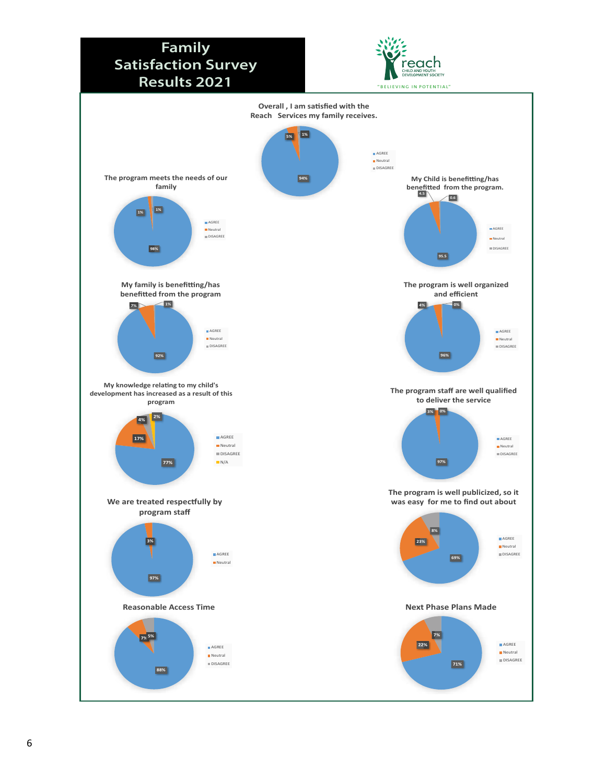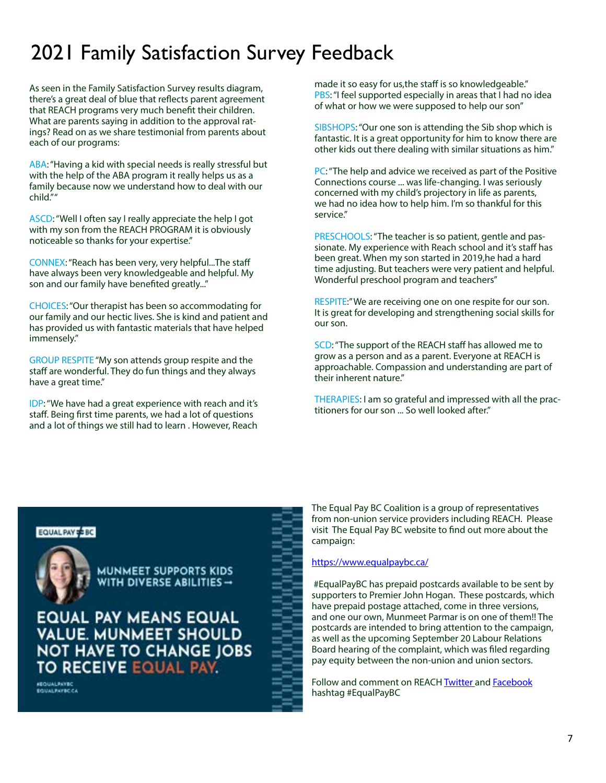### 2021 Family Satisfaction Survey Feedback

As seen in the Family Satisfaction Survey results diagram, there's a great deal of blue that reflects parent agreement that REACH programs very much benefit their children. What are parents saying in addition to the approval ratings? Read on as we share testimonial from parents about each of our programs:

ABA: "Having a kid with special needs is really stressful but with the help of the ABA program it really helps us as a family because now we understand how to deal with our child." "

ASCD: "Well I often say I really appreciate the help I got with my son from the REACH PROGRAM it is obviously noticeable so thanks for your expertise."

CONNEX: "Reach has been very, very helpful...The staff have always been very knowledgeable and helpful. My son and our family have benefited greatly..."

CHOICES: "Our therapist has been so accommodating for our family and our hectic lives. She is kind and patient and has provided us with fantastic materials that have helped immensely."

GROUP RESPITE "My son attends group respite and the staff are wonderful. They do fun things and they always have a great time."

IDP: "We have had a great experience with reach and it's staff. Being first time parents, we had a lot of questions and a lot of things we still had to learn . However, Reach

made it so easy for us,the staff is so knowledgeable." PBS: "I feel supported especially in areas that I had no idea of what or how we were supposed to help our son"

SIBSHOPS: "Our one son is attending the Sib shop which is fantastic. It is a great opportunity for him to know there are other kids out there dealing with similar situations as him."

PC: "The help and advice we received as part of the Positive Connections course ... was life-changing. I was seriously concerned with my child's projectory in life as parents, we had no idea how to help him. I'm so thankful for this service."

PRESCHOOLS: "The teacher is so patient, gentle and passionate. My experience with Reach school and it's staff has been great. When my son started in 2019,he had a hard time adjusting. But teachers were very patient and helpful. Wonderful preschool program and teachers"

RESPITE:" We are receiving one on one respite for our son. It is great for developing and strengthening social skills for our son.

SCD: "The support of the REACH staff has allowed me to grow as a person and as a parent. Everyone at REACH is approachable. Compassion and understanding are part of their inherent nature."

THERAPIES: I am so grateful and impressed with all the practitioners for our son ... So well looked after."

#### EQUAL PAY # BC



**MUNMEET SUPPORTS KIDS** WITH DIVERSE ABILITIES  $\rightarrow$ 

**EQUAL PAY MEANS EQUAL VALUE. MUNMEET SHOULD** NOT HAVE TO CHANGE JOBS TO RECEIVE EQUAL PAY.

**FEQUALPATEC** 

The Equal Pay BC Coalition is a group of representatives from non-union service providers including REACH. Please visit The Equal Pay BC website to find out more about the campaign:

#### <https://www.equalpaybc.ca/>

 #EqualPayBC has prepaid postcards available to be sent by supporters to Premier John Hogan. These postcards, which have prepaid postage attached, come in three versions, and one our own, Munmeet Parmar is on one of them!! The postcards are intended to bring attention to the campaign, as well as the upcoming September 20 Labour Relations Board hearing of the complaint, which was filed regarding pay equity between the non-union and union sectors.

Follow and comment on REACH [Twitter](https://twitter.com/ReachSocietyBC) and [Facebook](https://www.facebook.com/reachsocietybc) hashtag #EqualPayBC